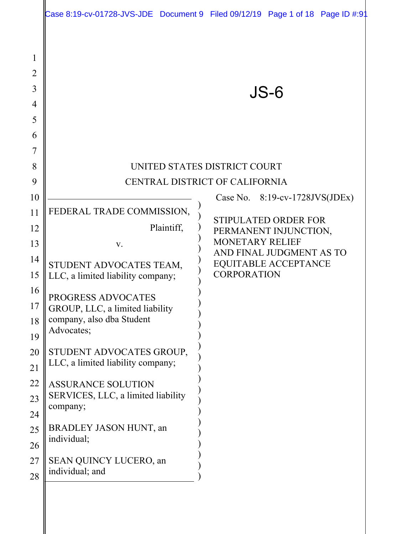|                                              | Case 8:19-cv-01728-JVS-JDE Document 9 Filed 09/12/19 Page 1 of 18 Page ID #:91                   |                                                                                                                           |                                   |  |  |
|----------------------------------------------|--------------------------------------------------------------------------------------------------|---------------------------------------------------------------------------------------------------------------------------|-----------------------------------|--|--|
| 1<br>$\overline{2}$<br>3<br>4<br>5<br>6<br>7 |                                                                                                  | $JS-6$                                                                                                                    |                                   |  |  |
| 8                                            |                                                                                                  | UNITED STATES DISTRICT COURT                                                                                              |                                   |  |  |
| 9                                            | CENTRAL DISTRICT OF CALIFORNIA                                                                   |                                                                                                                           |                                   |  |  |
| 10                                           |                                                                                                  |                                                                                                                           | Case No. $8:19$ -cv-1728JVS(JDEx) |  |  |
| 11                                           | FEDERAL TRADE COMMISSION,                                                                        |                                                                                                                           | <b>STIPULATED ORDER FOR</b>       |  |  |
| 12                                           | Plaintiff,                                                                                       | PERMANENT INJUNCTION,<br><b>MONETARY RELIEF</b><br>AND FINAL JUDGMENT AS TO<br>EQUITABLE ACCEPTANCE<br><b>CORPORATION</b> |                                   |  |  |
| 13<br>14                                     | V.                                                                                               |                                                                                                                           |                                   |  |  |
| 15                                           | STUDENT ADVOCATES TEAM,<br>LLC, a limited liability company;                                     |                                                                                                                           |                                   |  |  |
| 16<br>17<br>18<br>19                         | PROGRESS ADVOCATES<br>GROUP, LLC, a limited liability<br>company, also dba Student<br>Advocates; |                                                                                                                           |                                   |  |  |
| 20<br>21                                     | STUDENT ADVOCATES GROUP,<br>LLC, a limited liability company;                                    |                                                                                                                           |                                   |  |  |
| 22<br>23<br>24                               | <b>ASSURANCE SOLUTION</b><br>SERVICES, LLC, a limited liability<br>company;                      |                                                                                                                           |                                   |  |  |
| 25<br>26                                     | BRADLEY JASON HUNT, an<br>individual;                                                            |                                                                                                                           |                                   |  |  |
| 27<br>28                                     | SEAN QUINCY LUCERO, an<br>individual; and                                                        |                                                                                                                           |                                   |  |  |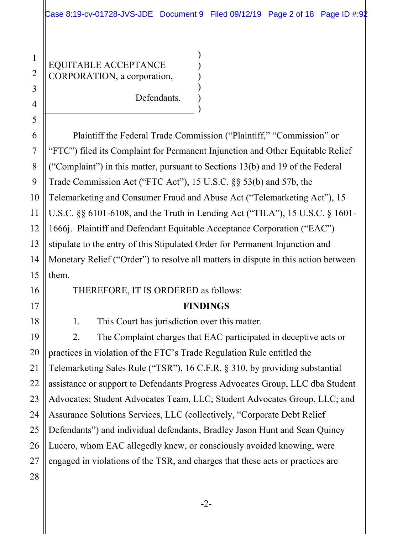)  $\overline{)}$  $\overline{)}$  $\overline{)}$  $\overline{)}$  $\overline{)}$ 

EQUITABLE ACCEPTANCE CORPORATION, a corporation,

Defendants.

Plaintiff the Federal Trade Commission ("Plaintiff," "Commission" or "FTC") filed its Complaint for Permanent Injunction and Other Equitable Relief ("Complaint") in this matter, pursuant to Sections 13(b) and 19 of the Federal Trade Commission Act ("FTC Act"), 15 U.S.C. §§ 53(b) and 57b, the Telemarketing and Consumer Fraud and Abuse Act ("Telemarketing Act"), 15 U.S.C. §§ 6101-6108, and the Truth in Lending Act ("TILA"), 15 U.S.C. § 1601- 1666j. Plaintiff and Defendant Equitable Acceptance Corporation ("EAC") stipulate to the entry of this Stipulated Order for Permanent Injunction and Monetary Relief ("Order") to resolve all matters in dispute in this action between them.

THEREFORE, IT IS ORDERED as follows:

#### **FINDINGS**

1. This Court has jurisdiction over this matter.

 2. The Complaint charges that EAC participated in deceptive acts or practices in violation of the FTC's Trade Regulation Rule entitled the Telemarketing Sales Rule ("TSR"), 16 C.F.R. § 310, by providing substantial assistance or support to Defendants Progress Advocates Group, LLC dba Student Advocates; Student Advocates Team, LLC; Student Advocates Group, LLC; and Assurance Solutions Services, LLC (collectively, "Corporate Debt Relief Defendants") and individual defendants, Bradley Jason Hunt and Sean Quincy Lucero, whom EAC allegedly knew, or consciously avoided knowing, were engaged in violations of the TSR, and charges that these acts or practices are

1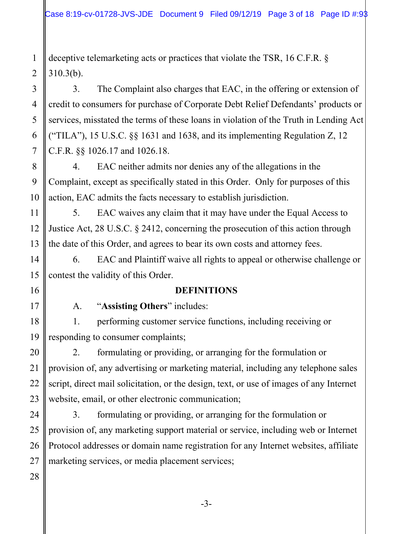deceptive telemarketing acts or practices that violate the TSR, 16 C.F.R. § 310.3(b).

 3. The Complaint also charges that EAC, in the offering or extension of credit to consumers for purchase of Corporate Debt Relief Defendants' products or services, misstated the terms of these loans in violation of the Truth in Lending Act ("TILA"), 15 U.S.C.  $\S$ § 1631 and 1638, and its implementing Regulation Z, 12 C.F.R. §§ 1026.17 and 1026.18.

 10 4. EAC neither admits nor denies any of the allegations in the Complaint, except as specifically stated in this Order. Only for purposes of this action, EAC admits the facts necessary to establish jurisdiction.

 12 13 5. EAC waives any claim that it may have under the Equal Access to Justice Act, 28 U.S.C. § 2412, concerning the prosecution of this action through the date of this Order, and agrees to bear its own costs and attorney fees.

 6. EAC and Plaintiff waive all rights to appeal or otherwise challenge or contest the validity of this Order.

**DEFINITIONS** 

A. "**Assisting Others**" includes:

 1. performing customer service functions, including receiving or responding to consumer complaints;

 2. formulating or providing, or arranging for the formulation or provision of, any advertising or marketing material, including any telephone sales script, direct mail solicitation, or the design, text, or use of images of any Internet website, email, or other electronic communication;

 3. formulating or providing, or arranging for the formulation or provision of, any marketing support material or service, including web or Internet Protocol addresses or domain name registration for any Internet websites, affiliate marketing services, or media placement services;

1

2

3

4

5

6

7

8

9

11

14

15

16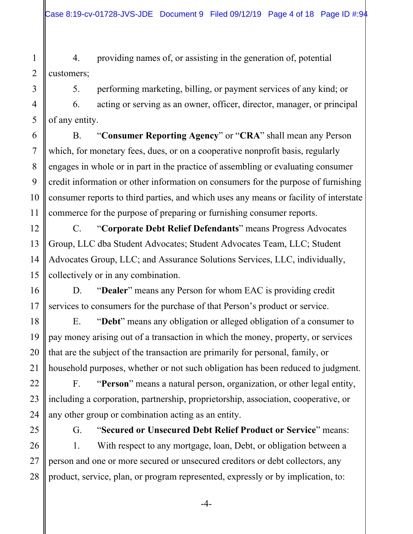1 4. providing names of, or assisting in the generation of, potential customers;

 5. performing marketing, billing, or payment services of any kind; or 6. acting or serving as an owner, officer, director, manager, or principal of any entity.

 B. "**Consumer Reporting Agency**" or "**CRA**" shall mean any Person which, for monetary fees, dues, or on a cooperative nonprofit basis, regularly engages in whole or in part in the practice of assembling or evaluating consumer credit information or other information on consumers for the purpose of furnishing consumer reports to third parties, and which uses any means or facility of interstate commerce for the purpose of preparing or furnishing consumer reports.

 C. "**Corporate Debt Relief Defendants**" means Progress Advocates Group, LLC dba Student Advocates; Student Advocates Team, LLC; Student Advocates Group, LLC; and Assurance Solutions Services, LLC, individually, collectively or in any combination.

 D. "**Dealer**" means any Person for whom EAC is providing credit services to consumers for the purchase of that Person's product or service.

E. "**Debt**" means any obligation or alleged obligation of a consumer to pay money arising out of a transaction in which the money, property, or services that are the subject of the transaction are primarily for personal, family, or household purposes, whether or not such obligation has been reduced to judgment.

F. "**Person**" means a natural person, organization, or other legal entity, including a corporation, partnership, proprietorship, association, cooperative, or any other group or combination acting as an entity.

G. "**Secured or Unsecured Debt Relief Product or Service**" means:

 1. With respect to any mortgage, loan, Debt, or obligation between a person and one or more secured or unsecured creditors or debt collectors, any product, service, plan, or program represented, expressly or by implication, to: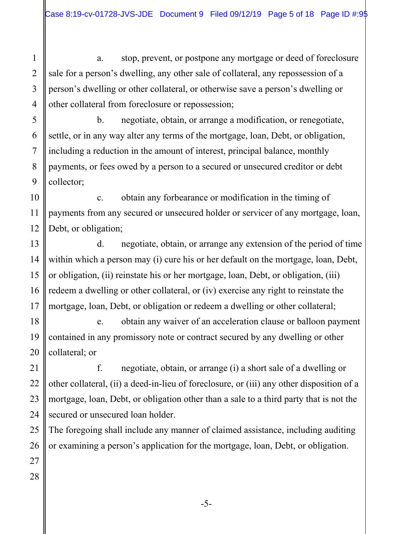Case 8:19-cv-01728-JVS-JDE Document 9 Filed 09/12/19 Page 5 of 18 Page ID #:95

 a. stop, prevent, or postpone any mortgage or deed of foreclosure sale for a person's dwelling, any other sale of collateral, any repossession of a person's dwelling or other collateral, or otherwise save a person's dwelling or other collateral from foreclosure or repossession;

 b. negotiate, obtain, or arrange a modification, or renegotiate, settle, or in any way alter any terms of the mortgage, loan, Debt, or obligation, including a reduction in the amount of interest, principal balance, monthly payments, or fees owed by a person to a secured or unsecured creditor or debt collector;

 c. obtain any forbearance or modification in the timing of payments from any secured or unsecured holder or servicer of any mortgage, loan, Debt, or obligation;

 d. negotiate, obtain, or arrange any extension of the period of time within which a person may (i) cure his or her default on the mortgage, loan, Debt, or obligation, (ii) reinstate his or her mortgage, loan, Debt, or obligation, (iii) redeem a dwelling or other collateral, or (iv) exercise any right to reinstate the mortgage, loan, Debt, or obligation or redeem a dwelling or other collateral;

 e. obtain any waiver of an acceleration clause or balloon payment contained in any promissory note or contract secured by any dwelling or other collateral; or

 f. negotiate, obtain, or arrange (i) a short sale of a dwelling or other collateral, (ii) a deed-in-lieu of foreclosure, or (iii) any other disposition of a mortgage, loan, Debt, or obligation other than a sale to a third party that is not the secured or unsecured loan holder.

The foregoing shall include any manner of claimed assistance, including auditing or examining a person's application for the mortgage, loan, Debt, or obligation.

1

-5-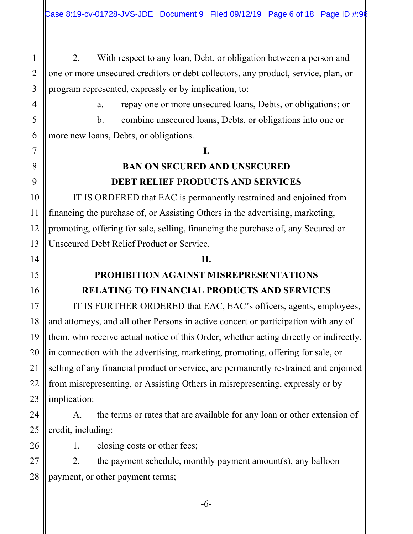2. With respect to any loan, Debt, or obligation between a person and one or more unsecured creditors or debt collectors, any product, service, plan, or program represented, expressly or by implication, to:

 a. repay one or more unsecured loans, Debts, or obligations; or b. combine unsecured loans, Debts, or obligations into one or more new loans, Debts, or obligations.

#### **I.**

## **BAN ON SECURED AND UNSECURED DEBT RELIEF PRODUCTS AND SERVICES**

 IT IS ORDERED that EAC is permanently restrained and enjoined from financing the purchase of, or Assisting Others in the advertising, marketing, promoting, offering for sale, selling, financing the purchase of, any Secured or Unsecured Debt Relief Product or Service.

#### **II.**

## **PROHIBITION AGAINST MISREPRESENTATIONS RELATING TO FINANCIAL PRODUCTS AND SERVICES**

 IT IS FURTHER ORDERED that EAC, EAC's officers, agents, employees, and attorneys, and all other Persons in active concert or participation with any of them, who receive actual notice of this Order, whether acting directly or indirectly, in connection with the advertising, marketing, promoting, offering for sale, or selling of any financial product or service, are permanently restrained and enjoined from misrepresenting, or Assisting Others in misrepresenting, expressly or by implication:

 A. the terms or rates that are available for any loan or other extension of credit, including:

1. closing costs or other fees;

 2. the payment schedule, monthly payment amount(s), any balloon payment, or other payment terms;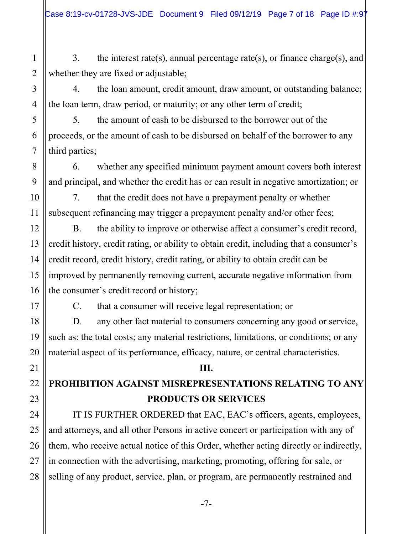3. the interest rate(s), annual percentage rate(s), or finance charge(s), and whether they are fixed or adjustable;

1

2

3

4

5

6

7

8

9

10

11

12

13

14

15

16

17

18

19

20

21

22

23

24

25

26

27

28

 4. the loan amount, credit amount, draw amount, or outstanding balance; the loan term, draw period, or maturity; or any other term of credit;

 5. the amount of cash to be disbursed to the borrower out of the proceeds, or the amount of cash to be disbursed on behalf of the borrower to any third parties;

 6. whether any specified minimum payment amount covers both interest and principal, and whether the credit has or can result in negative amortization; or

 7. that the credit does not have a prepayment penalty or whether subsequent refinancing may trigger a prepayment penalty and/or other fees;

 B. the ability to improve or otherwise affect a consumer's credit record, credit history, credit rating, or ability to obtain credit, including that a consumer's credit record, credit history, credit rating, or ability to obtain credit can be improved by permanently removing current, accurate negative information from the consumer's credit record or history;

C. that a consumer will receive legal representation; or

 D. any other fact material to consumers concerning any good or service, such as: the total costs; any material restrictions, limitations, or conditions; or any material aspect of its performance, efficacy, nature, or central characteristics.

# **PROHIBITION AGAINST MISREPRESENTATIONS RELATING TO ANY PRODUCTS OR SERVICES**

**III.** 

 IT IS FURTHER ORDERED that EAC, EAC's officers, agents, employees, and attorneys, and all other Persons in active concert or participation with any of them, who receive actual notice of this Order, whether acting directly or indirectly, in connection with the advertising, marketing, promoting, offering for sale, or selling of any product, service, plan, or program, are permanently restrained and

-7-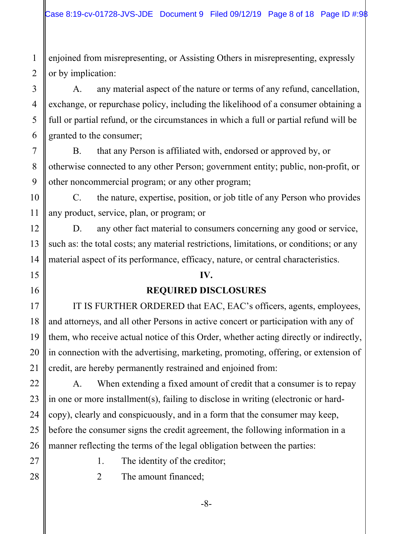enjoined from misrepresenting, or Assisting Others in misrepresenting, expressly or by implication:

 A. any material aspect of the nature or terms of any refund, cancellation, exchange, or repurchase policy, including the likelihood of a consumer obtaining a full or partial refund, or the circumstances in which a full or partial refund will be granted to the consumer;

 B. that any Person is affiliated with, endorsed or approved by, or otherwise connected to any other Person; government entity; public, non-profit, or other noncommercial program; or any other program;

 C. the nature, expertise, position, or job title of any Person who provides any product, service, plan, or program; or

 D. any other fact material to consumers concerning any good or service, such as: the total costs; any material restrictions, limitations, or conditions; or any material aspect of its performance, efficacy, nature, or central characteristics.

#### **IV.**

## **REQUIRED DISCLOSURES**

 IT IS FURTHER ORDERED that EAC, EAC's officers, agents, employees, and attorneys, and all other Persons in active concert or participation with any of them, who receive actual notice of this Order, whether acting directly or indirectly, in connection with the advertising, marketing, promoting, offering, or extension of credit, are hereby permanently restrained and enjoined from:

A. When extending a fixed amount of credit that a consumer is to repay in one or more installment(s), failing to disclose in writing (electronic or hardcopy), clearly and conspicuously, and in a form that the consumer may keep, before the consumer signs the credit agreement, the following information in a manner reflecting the terms of the legal obligation between the parties:

-8-

- 
- 1. The identity of the creditor;
- 2 The amount financed;

1

2

3

4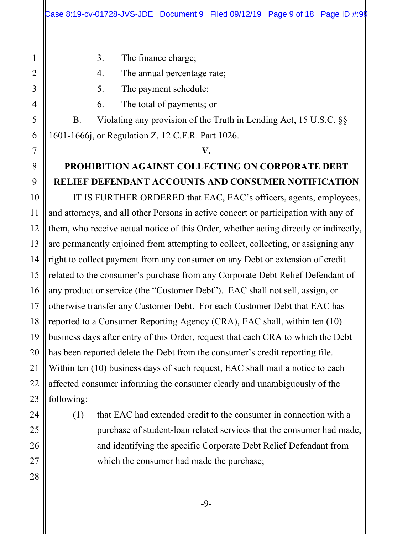- 3. The finance charge;
- 4. The annual percentage rate;
- 5. The payment schedule;
- 6. The total of payments; or

B. Violating any provision of the Truth in Lending Act, 15 U.S.C. §§ 1601-1666j, or Regulation Z, 12 C.F.R. Part 1026.

#### **V.**

# **PROHIBITION AGAINST COLLECTING ON CORPORATE DEBT RELIEF DEFENDANT ACCOUNTS AND CONSUMER NOTIFICATION**

 IT IS FURTHER ORDERED that EAC, EAC's officers, agents, employees, and attorneys, and all other Persons in active concert or participation with any of them, who receive actual notice of this Order, whether acting directly or indirectly, are permanently enjoined from attempting to collect, collecting, or assigning any right to collect payment from any consumer on any Debt or extension of credit related to the consumer's purchase from any Corporate Debt Relief Defendant of any product or service (the "Customer Debt"). EAC shall not sell, assign, or otherwise transfer any Customer Debt. For each Customer Debt that EAC has reported to a Consumer Reporting Agency (CRA), EAC shall, within ten (10) business days after entry of this Order, request that each CRA to which the Debt has been reported delete the Debt from the consumer's credit reporting file. Within ten (10) business days of such request, EAC shall mail a notice to each affected consumer informing the consumer clearly and unambiguously of the following:

(1) that EAC had extended credit to the consumer in connection with a purchase of student-loan related services that the consumer had made, and identifying the specific Corporate Debt Relief Defendant from which the consumer had made the purchase;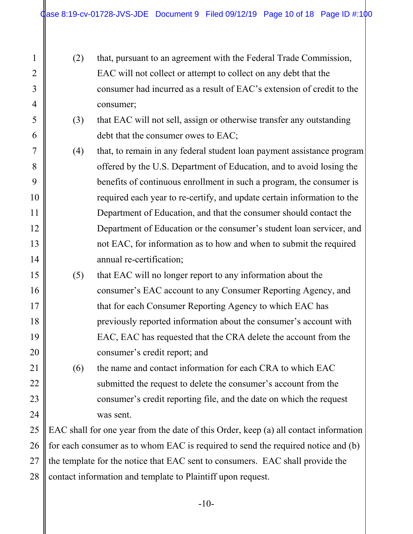1

2

3

4

5

6

7

8

9

10

11

12

13

14

15

16

17

18

19

20

21

22

23

24

25

26

27

- (2) that, pursuant to an agreement with the Federal Trade Commission, EAC will not collect or attempt to collect on any debt that the consumer had incurred as a result of EAC's extension of credit to the consumer;
- (3) that EAC will not sell, assign or otherwise transfer any outstanding debt that the consumer owes to EAC;
- (4) that, to remain in any federal student loan payment assistance program offered by the U.S. Department of Education, and to avoid losing the benefits of continuous enrollment in such a program, the consumer is required each year to re-certify, and update certain information to the Department of Education, and that the consumer should contact the Department of Education or the consumer's student loan servicer, and not EAC, for information as to how and when to submit the required annual re-certification;
- (5) that EAC will no longer report to any information about the consumer's EAC account to any Consumer Reporting Agency, and that for each Consumer Reporting Agency to which EAC has previously reported information about the consumer's account with EAC, EAC has requested that the CRA delete the account from the consumer's credit report; and
- (6) the name and contact information for each CRA to which EAC submitted the request to delete the consumer's account from the consumer's credit reporting file, and the date on which the request was sent.

 28 EAC shall for one year from the date of this Order, keep (a) all contact information for each consumer as to whom EAC is required to send the required notice and (b) the template for the notice that EAC sent to consumers. EAC shall provide the contact information and template to Plaintiff upon request.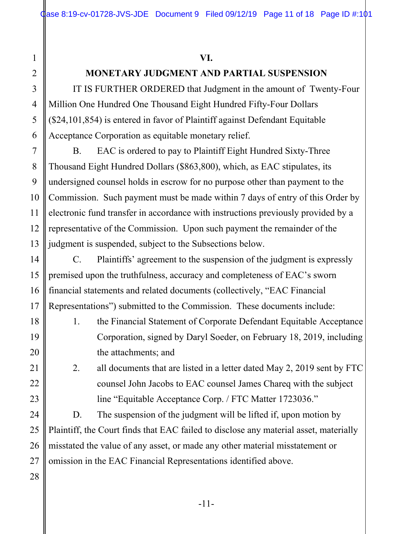## **MONETARY JUDGMENT AND PARTIAL SUSPENSION**

IT IS FURTHER ORDERED that Judgment in the amount of Twenty-Four Million One Hundred One Thousand Eight Hundred Fifty-Four Dollars (\$24,101,854) is entered in favor of Plaintiff against Defendant Equitable Acceptance Corporation as equitable monetary relief.

B. EAC is ordered to pay to Plaintiff Eight Hundred Sixty-Three Thousand Eight Hundred Dollars (\$863,800), which, as EAC stipulates, its undersigned counsel holds in escrow for no purpose other than payment to the Commission. Such payment must be made within 7 days of entry of this Order by electronic fund transfer in accordance with instructions previously provided by a representative of the Commission. Upon such payment the remainder of the judgment is suspended, subject to the Subsections below.

C. Plaintiffs' agreement to the suspension of the judgment is expressly premised upon the truthfulness, accuracy and completeness of EAC's sworn financial statements and related documents (collectively, "EAC Financial Representations") submitted to the Commission. These documents include:

1. the Financial Statement of Corporate Defendant Equitable Acceptance Corporation, signed by Daryl Soeder, on February 18, 2019, including the attachments; and

2. all documents that are listed in a letter dated May 2, 2019 sent by FTC counsel John Jacobs to EAC counsel James Chareq with the subject line "Equitable Acceptance Corp. / FTC Matter 1723036."

D. The suspension of the judgment will be lifted if, upon motion by Plaintiff, the Court finds that EAC failed to disclose any material asset, materially misstated the value of any asset, or made any other material misstatement or omission in the EAC Financial Representations identified above.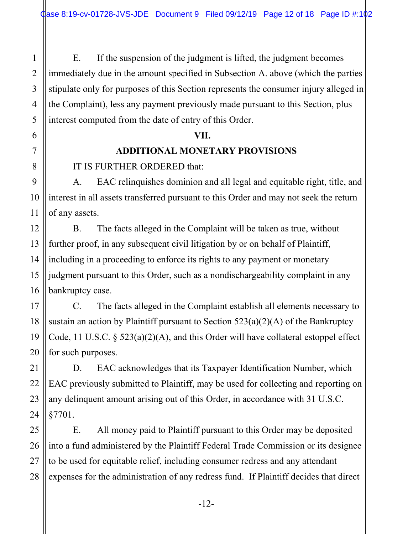E. If the suspension of the judgment is lifted, the judgment becomes immediately due in the amount specified in Subsection A. above (which the parties stipulate only for purposes of this Section represents the consumer injury alleged in the Complaint), less any payment previously made pursuant to this Section, plus interest computed from the date of entry of this Order.

#### **VII.**

## **ADDITIONAL MONETARY PROVISIONS**

## IT IS FURTHER ORDERED that:

1

2

3

4

5

6

7

8

9

10

11

12

13

14

15

17

18

19

20

21

22

A. EAC relinquishes dominion and all legal and equitable right, title, and interest in all assets transferred pursuant to this Order and may not seek the return of any assets.

 16 B. The facts alleged in the Complaint will be taken as true, without further proof, in any subsequent civil litigation by or on behalf of Plaintiff, including in a proceeding to enforce its rights to any payment or monetary judgment pursuant to this Order, such as a nondischargeability complaint in any bankruptcy case.

C. The facts alleged in the Complaint establish all elements necessary to sustain an action by Plaintiff pursuant to Section  $523(a)(2)(A)$  of the Bankruptcy Code, 11 U.S.C. § 523(a)(2)(A), and this Order will have collateral estoppel effect for such purposes.

 23 24 D. EAC acknowledges that its Taxpayer Identification Number, which EAC previously submitted to Plaintiff, may be used for collecting and reporting on any delinquent amount arising out of this Order, in accordance with 31 U.S.C. §7701.

 25 26 27 28 E. All money paid to Plaintiff pursuant to this Order may be deposited into a fund administered by the Plaintiff Federal Trade Commission or its designee to be used for equitable relief, including consumer redress and any attendant expenses for the administration of any redress fund. If Plaintiff decides that direct

-12-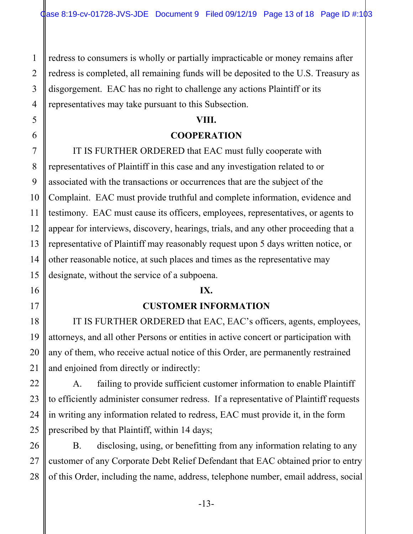redress to consumers is wholly or partially impracticable or money remains after redress is completed, all remaining funds will be deposited to the U.S. Treasury as disgorgement. EAC has no right to challenge any actions Plaintiff or its representatives may take pursuant to this Subsection.

#### **VIII.**

#### **COOPERATION**

 IT IS FURTHER ORDERED that EAC must fully cooperate with representatives of Plaintiff in this case and any investigation related to or associated with the transactions or occurrences that are the subject of the Complaint. EAC must provide truthful and complete information, evidence and testimony. EAC must cause its officers, employees, representatives, or agents to appear for interviews, discovery, hearings, trials, and any other proceeding that a representative of Plaintiff may reasonably request upon 5 days written notice, or other reasonable notice, at such places and times as the representative may designate, without the service of a subpoena.

#### **IX.**

#### **CUSTOMER INFORMATION**

 IT IS FURTHER ORDERED that EAC, EAC's officers, agents, employees, attorneys, and all other Persons or entities in active concert or participation with any of them, who receive actual notice of this Order, are permanently restrained and enjoined from directly or indirectly:

A. failing to provide sufficient customer information to enable Plaintiff to efficiently administer consumer redress. If a representative of Plaintiff requests in writing any information related to redress, EAC must provide it, in the form prescribed by that Plaintiff, within 14 days;

B. disclosing, using, or benefitting from any information relating to any customer of any Corporate Debt Relief Defendant that EAC obtained prior to entry of this Order, including the name, address, telephone number, email address, social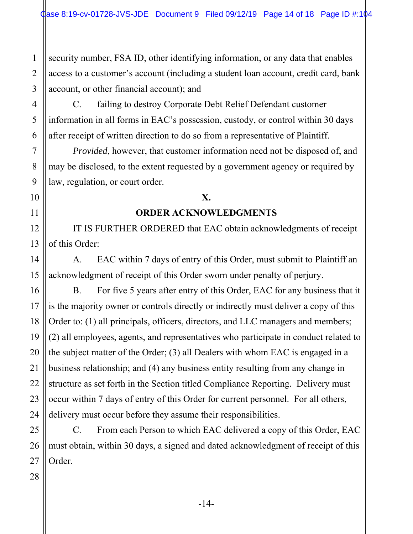security number, FSA ID, other identifying information, or any data that enables access to a customer's account (including a student loan account, credit card, bank account, or other financial account); and

C. failing to destroy Corporate Debt Relief Defendant customer information in all forms in EAC's possession, custody, or control within 30 days after receipt of written direction to do so from a representative of Plaintiff.

 *Provided*, however, that customer information need not be disposed of, and may be disclosed, to the extent requested by a government agency or required by law, regulation, or court order.

## **X.**

**ORDER ACKNOWLEDGMENTS** 

 IT IS FURTHER ORDERED that EAC obtain acknowledgments of receipt of this Order:

A. EAC within 7 days of entry of this Order, must submit to Plaintiff an acknowledgment of receipt of this Order sworn under penalty of perjury.

B. For five 5 years after entry of this Order, EAC for any business that it is the majority owner or controls directly or indirectly must deliver a copy of this Order to: (1) all principals, officers, directors, and LLC managers and members; (2) all employees, agents, and representatives who participate in conduct related to the subject matter of the Order; (3) all Dealers with whom EAC is engaged in a business relationship; and (4) any business entity resulting from any change in structure as set forth in the Section titled Compliance Reporting. Delivery must occur within 7 days of entry of this Order for current personnel. For all others, delivery must occur before they assume their responsibilities.

C. From each Person to which EAC delivered a copy of this Order, EAC must obtain, within 30 days, a signed and dated acknowledgment of receipt of this Order.

1

2

3

4

5

6

7

8

9

10

11

12

13

14

15

16

17

18

19

20

21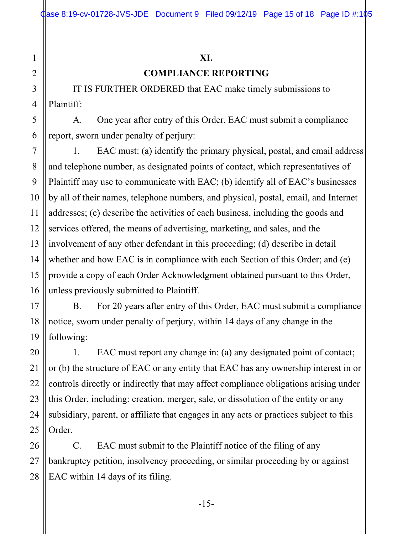## **COMPLIANCE REPORTING**

 IT IS FURTHER ORDERED that EAC make timely submissions to Plaintiff:

A. One year after entry of this Order, EAC must submit a compliance report, sworn under penalty of perjury:

 1. EAC must: (a) identify the primary physical, postal, and email address and telephone number, as designated points of contact, which representatives of Plaintiff may use to communicate with EAC; (b) identify all of EAC's businesses by all of their names, telephone numbers, and physical, postal, email, and Internet addresses; (c) describe the activities of each business, including the goods and services offered, the means of advertising, marketing, and sales, and the involvement of any other defendant in this proceeding; (d) describe in detail whether and how EAC is in compliance with each Section of this Order; and (e) provide a copy of each Order Acknowledgment obtained pursuant to this Order, unless previously submitted to Plaintiff.

B. For 20 years after entry of this Order, EAC must submit a compliance notice, sworn under penalty of perjury, within 14 days of any change in the following:

 1. EAC must report any change in: (a) any designated point of contact; or (b) the structure of EAC or any entity that EAC has any ownership interest in or controls directly or indirectly that may affect compliance obligations arising under this Order, including: creation, merger, sale, or dissolution of the entity or any subsidiary, parent, or affiliate that engages in any acts or practices subject to this Order.

C. EAC must submit to the Plaintiff notice of the filing of any bankruptcy petition, insolvency proceeding, or similar proceeding by or against EAC within 14 days of its filing.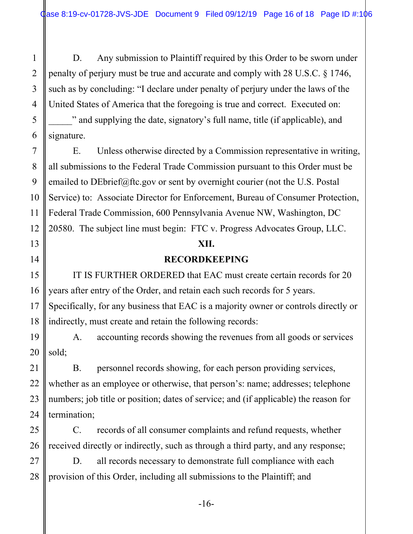D. Any submission to Plaintiff required by this Order to be sworn under penalty of perjury must be true and accurate and comply with 28 U.S.C. § 1746, such as by concluding: "I declare under penalty of perjury under the laws of the United States of America that the foregoing is true and correct. Executed on:

1

2

3

4

5

6

7

8

9

10

11

12

13

14

15

16

17

18

21

22

23

24

25

26

\_\_\_\_\_" and supplying the date, signatory's full name, title (if applicable), and signature.

E. Unless otherwise directed by a Commission representative in writing, all submissions to the Federal Trade Commission pursuant to this Order must be emailed to DEbrief@ftc.gov or sent by overnight courier (not the U.S. Postal Service) to: Associate Director for Enforcement, Bureau of Consumer Protection, Federal Trade Commission, 600 Pennsylvania Avenue NW, Washington, DC 20580. The subject line must begin: FTC v. Progress Advocates Group, LLC.

#### **XII.**

### **RECORDKEEPING**

 IT IS FURTHER ORDERED that EAC must create certain records for 20 years after entry of the Order, and retain each such records for 5 years. Specifically, for any business that EAC is a majority owner or controls directly or indirectly, must create and retain the following records:

 19 20 A. accounting records showing the revenues from all goods or services sold;

B. personnel records showing, for each person providing services, whether as an employee or otherwise, that person's: name; addresses; telephone numbers; job title or position; dates of service; and (if applicable) the reason for termination;

C. records of all consumer complaints and refund requests, whether received directly or indirectly, such as through a third party, and any response;

 27 28 D. all records necessary to demonstrate full compliance with each provision of this Order, including all submissions to the Plaintiff; and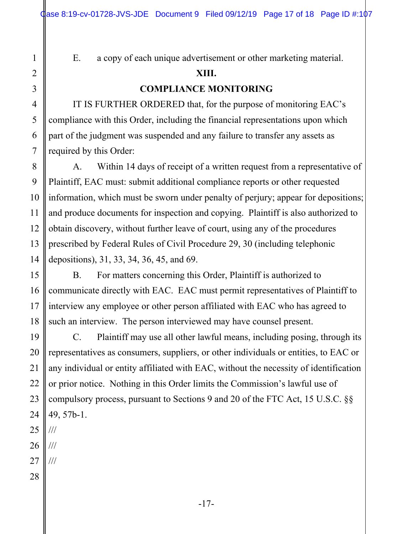E. a copy of each unique advertisement or other marketing material.

#### **XIII.**

## **COMPLIANCE MONITORING**

 IT IS FURTHER ORDERED that, for the purpose of monitoring EAC's compliance with this Order, including the financial representations upon which part of the judgment was suspended and any failure to transfer any assets as required by this Order:

 10 11 12 13 14 A. Within 14 days of receipt of a written request from a representative of Plaintiff, EAC must: submit additional compliance reports or other requested information, which must be sworn under penalty of perjury; appear for depositions; and produce documents for inspection and copying. Plaintiff is also authorized to obtain discovery, without further leave of court, using any of the procedures prescribed by Federal Rules of Civil Procedure 29, 30 (including telephonic depositions), 31, 33, 34, 36, 45, and 69.

B. For matters concerning this Order, Plaintiff is authorized to communicate directly with EAC. EAC must permit representatives of Plaintiff to interview any employee or other person affiliated with EAC who has agreed to such an interview. The person interviewed may have counsel present.

 19 20 21 22 23 24 C. Plaintiff may use all other lawful means, including posing, through its representatives as consumers, suppliers, or other individuals or entities, to EAC or any individual or entity affiliated with EAC, without the necessity of identification or prior notice. Nothing in this Order limits the Commission's lawful use of compulsory process, pursuant to Sections 9 and 20 of the FTC Act, 15 U.S.C. §§ 49, 57b-1.

 25 ///

 26 ///

 27 ///

28

1

2

3

4

5

6

7

8

9

15

16

17